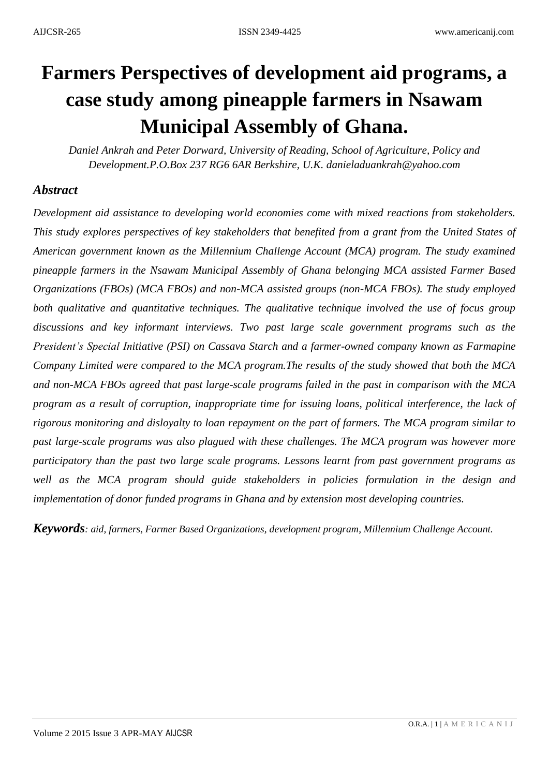# **Farmers Perspectives of development aid programs, a case study among pineapple farmers in Nsawam Municipal Assembly of Ghana.**

*Daniel Ankrah and Peter Dorward, University of Reading, School of Agriculture, Policy and Development.P.O.Box 237 RG6 6AR Berkshire, U.K. danieladuankrah@yahoo.com*

## *Abstract*

*Development aid assistance to developing world economies come with mixed reactions from stakeholders. This study explores perspectives of key stakeholders that benefited from a grant from the United States of American government known as the Millennium Challenge Account (MCA) program. The study examined pineapple farmers in the Nsawam Municipal Assembly of Ghana belonging MCA assisted Farmer Based Organizations (FBOs) (MCA FBOs) and non-MCA assisted groups (non-MCA FBOs). The study employed both qualitative and quantitative techniques. The qualitative technique involved the use of focus group discussions and key informant interviews. Two past large scale government programs such as the President's Special Initiative (PSI) on Cassava Starch and a farmer-owned company known as Farmapine Company Limited were compared to the MCA program.The results of the study showed that both the MCA and non-MCA FBOs agreed that past large-scale programs failed in the past in comparison with the MCA program as a result of corruption, inappropriate time for issuing loans, political interference, the lack of rigorous monitoring and disloyalty to loan repayment on the part of farmers. The MCA program similar to past large-scale programs was also plagued with these challenges. The MCA program was however more participatory than the past two large scale programs. Lessons learnt from past government programs as well as the MCA program should guide stakeholders in policies formulation in the design and implementation of donor funded programs in Ghana and by extension most developing countries.*

*Keywords: aid, farmers, Farmer Based Organizations, development program, Millennium Challenge Account.*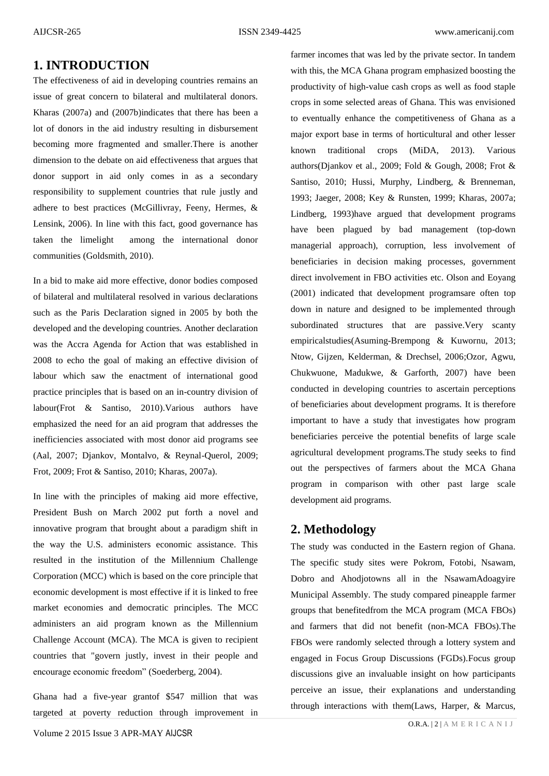## **1. INTRODUCTION**

The effectiveness of aid in developing countries remains an issue of great concern to bilateral and multilateral donors. [Kharas \(2007a\)](#page-9-0) and [\(2007b\)](#page-9-1)indicates that there has been a lot of donors in the aid industry resulting in disbursement becoming more fragmented and smaller.There is another dimension to the debate on aid effectiveness that argues that donor support in aid only comes in as a secondary responsibility to supplement countries that rule justly and adhere to best practices [\(McGillivray, Feeny, Hermes, &](#page-9-2)  [Lensink, 2006\)](#page-9-2). In line with this fact, good governance has taken the limelight among the international donor communities [\(Goldsmith, 2010\)](#page-9-3).

In a bid to make aid more effective, donor bodies composed of bilateral and multilateral resolved in various declarations such as the Paris Declaration signed in 2005 by both the developed and the developing countries. Another declaration was the Accra Agenda for Action that was established in 2008 to echo the goal of making an effective division of labour which saw the enactment of international good practice principles that is based on an in-country division of labour[\(Frot & Santiso, 2010\)](#page-9-4).Various authors have emphasized the need for an aid program that addresses the inefficiencies associated with most donor aid programs see [\(Aal, 2007;](#page-8-0) [Djankov, Montalvo, & Reynal-Querol, 2009;](#page-8-1) [Frot, 2009;](#page-9-5) [Frot & Santiso, 2010;](#page-9-4) [Kharas, 2007a\)](#page-9-0).

In line with the principles of making aid more effective, President Bush on March 2002 put forth a novel and innovative program that brought about a paradigm shift in the way the U.S. administers economic assistance. This resulted in the institution of the Millennium Challenge Corporation (MCC) which is based on the core principle that economic development is most effective if it is linked to free market economies and democratic principles. The MCC administers an aid program known as the Millennium Challenge Account (MCA). The MCA is given to recipient countries that "govern justly, invest in their people and encourage economic freedom" [\(Soederberg, 2004\)](#page-10-0).

Ghana had a five-year grantof \$547 million that was targeted at poverty reduction through improvement in with this, the MCA Ghana program emphasized boosting the productivity of high-value cash crops as well as food staple crops in some selected areas of Ghana. This was envisioned to eventually enhance the competitiveness of Ghana as a major export base in terms of horticultural and other lesser known traditional crops [\(MiDA, 2013\)](#page-9-6). Various authors[\(Djankov et al., 2009;](#page-8-1) [Fold & Gough, 2008;](#page-8-2) [Frot &](#page-9-4)  [Santiso, 2010;](#page-9-4) [Hussi, Murphy, Lindberg, & Brenneman,](#page-9-7)  [1993;](#page-9-7) [Jaeger, 2008;](#page-9-8) [Key & Runsten, 1999;](#page-9-9) [Kharas, 2007a;](#page-9-0) [Lindberg, 1993\)](#page-9-10)have argued that development programs have been plagued by bad management (top-down managerial approach), corruption, less involvement of beneficiaries in decision making processes, government direct involvement in FBO activities etc. [Olson and Eoyang](#page-9-11)  (2001) indicated that development programsare often top down in nature and designed to be implemented through subordinated structures that are passive.Very scanty empiricalstudies[\(Asuming-Brempong & Kuwornu, 2013;](#page-8-3) [Ntow, Gijzen, Kelderman, & Drechsel, 2006](#page-9-12)[;Ozor, Agwu,](#page-10-1)  [Chukwuone, Madukwe, & Garforth, 2007\)](#page-10-1) have been conducted in developing countries to ascertain perceptions of beneficiaries about development programs. It is therefore important to have a study that investigates how program beneficiaries perceive the potential benefits of large scale agricultural development programs.The study seeks to find out the perspectives of farmers about the MCA Ghana program in comparison with other past large scale development aid programs.

farmer incomes that was led by the private sector. In tandem

## **2. Methodology**

The study was conducted in the Eastern region of Ghana. The specific study sites were Pokrom, Fotobi, Nsawam, Dobro and Ahodjotowns all in the NsawamAdoagyire Municipal Assembly. The study compared pineapple farmer groups that benefitedfrom the MCA program (MCA FBOs) and farmers that did not benefit (non-MCA FBOs).The FBOs were randomly selected through a lottery system and engaged in Focus Group Discussions (FGDs).Focus group discussions give an invaluable insight on how participants perceive an issue, their explanations and understanding through interactions with them[\(Laws, Harper, & Marcus,](#page-9-13)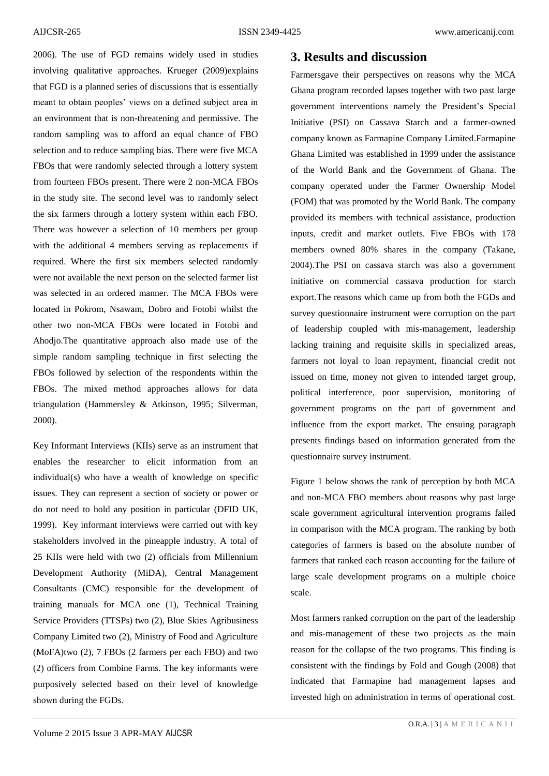2006). The use of FGD remains widely used in studies involving qualitative approaches. [Krueger \(2009\)e](#page-9-14)xplains that FGD is a planned series of discussions that is essentially meant to obtain peoples' views on a defined subject area in an environment that is non-threatening and permissive. The random sampling was to afford an equal chance of FBO selection and to reduce sampling bias. There were five MCA FBOs that were randomly selected through a lottery system from fourteen FBOs present. There were 2 non-MCA FBOs in the study site. The second level was to randomly select the six farmers through a lottery system within each FBO. There was however a selection of 10 members per group with the additional 4 members serving as replacements if required. Where the first six members selected randomly were not available the next person on the selected farmer list was selected in an ordered manner. The MCA FBOs were located in Pokrom, Nsawam, Dobro and Fotobi whilst the other two non-MCA FBOs were located in Fotobi and Ahodjo.The quantitative approach also made use of the simple random sampling technique in first selecting the FBOs followed by selection of the respondents within the FBOs. The mixed method approaches allows for data triangulation [\(Hammersley & Atkinson, 1995;](#page-9-15) [Silverman,](#page-10-2)  [2000\)](#page-10-2).

Key Informant Interviews (KIIs) serve as an instrument that enables the researcher to elicit information from an individual(s) who have a wealth of knowledge on specific issues. They can represent a section of society or power or do not need to hold any position in particular [\(DFID UK,](#page-8-4)  [1999\)](#page-8-4). Key informant interviews were carried out with key stakeholders involved in the pineapple industry. A total of 25 KIIs were held with two (2) officials from Millennium Development Authority (MiDA), Central Management Consultants (CMC) responsible for the development of training manuals for MCA one (1), Technical Training Service Providers (TTSPs) two (2), Blue Skies Agribusiness Company Limited two (2), Ministry of Food and Agriculture (MoFA)two (2), 7 FBOs (2 farmers per each FBO) and two (2) officers from Combine Farms. The key informants were purposively selected based on their level of knowledge shown during the FGDs.

#### **3. Results and discussion**

Farmersgave their perspectives on reasons why the MCA Ghana program recorded lapses together with two past large government interventions namely the President's Special Initiative (PSI) on Cassava Starch and a farmer-owned company known as Farmapine Company Limited.Farmapine Ghana Limited was established in 1999 under the assistance of the World Bank and the Government of Ghana. The company operated under the Farmer Ownership Model (FOM) that was promoted by the World Bank. The company provided its members with technical assistance, production inputs, credit and market outlets. Five FBOs with 178 members owned 80% shares in the company [\(Takane,](#page-10-3)  [2004\)](#page-10-3).The PSI on cassava starch was also a government initiative on commercial cassava production for starch export.The reasons which came up from both the FGDs and survey questionnaire instrument were corruption on the part of leadership coupled with mis-management, leadership lacking training and requisite skills in specialized areas, farmers not loyal to loan repayment, financial credit not issued on time, money not given to intended target group, political interference, poor supervision, monitoring of government programs on the part of government and influence from the export market. The ensuing paragraph presents findings based on information generated from the questionnaire survey instrument.

Figure 1 below shows the rank of perception by both MCA and non-MCA FBO members about reasons why past large scale government agricultural intervention programs failed in comparison with the MCA program. The ranking by both categories of farmers is based on the absolute number of farmers that ranked each reason accounting for the failure of large scale development programs on a multiple choice scale.

Most farmers ranked corruption on the part of the leadership and mis-management of these two projects as the main reason for the collapse of the two programs. This finding is consistent with the findings by [Fold and Gough \(2008\)](#page-8-2) that indicated that Farmapine had management lapses and invested high on administration in terms of operational cost.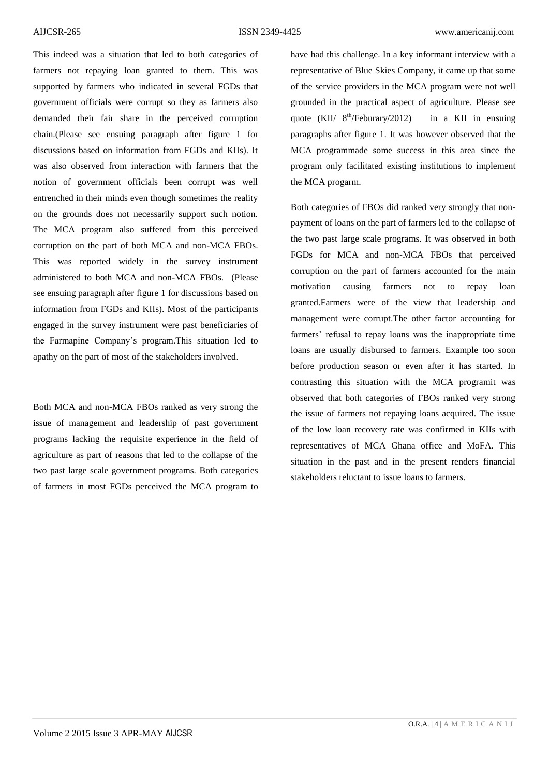This indeed was a situation that led to both categories of farmers not repaying loan granted to them. This was supported by farmers who indicated in several FGDs that government officials were corrupt so they as farmers also demanded their fair share in the perceived corruption chain.(Please see ensuing paragraph after figure 1 for discussions based on information from FGDs and KIIs). It was also observed from interaction with farmers that the notion of government officials been corrupt was well entrenched in their minds even though sometimes the reality on the grounds does not necessarily support such notion. The MCA program also suffered from this perceived corruption on the part of both MCA and non-MCA FBOs. This was reported widely in the survey instrument administered to both MCA and non-MCA FBOs. (Please see ensuing paragraph after figure 1 for discussions based on information from FGDs and KIIs). Most of the participants engaged in the survey instrument were past beneficiaries of the Farmapine Company's program.This situation led to apathy on the part of most of the stakeholders involved.

Both MCA and non-MCA FBOs ranked as very strong the issue of management and leadership of past government programs lacking the requisite experience in the field of agriculture as part of reasons that led to the collapse of the two past large scale government programs. Both categories of farmers in most FGDs perceived the MCA program to

have had this challenge. In a key informant interview with a representative of Blue Skies Company, it came up that some of the service providers in the MCA program were not well grounded in the practical aspect of agriculture. Please see quote  $(KII/8^{th}/\text{February}/2012)$ in a KII in ensuing paragraphs after figure 1. It was however observed that the MCA programmade some success in this area since the program only facilitated existing institutions to implement the MCA progarm.

Both categories of FBOs did ranked very strongly that nonpayment of loans on the part of farmers led to the collapse of the two past large scale programs. It was observed in both FGDs for MCA and non-MCA FBOs that perceived corruption on the part of farmers accounted for the main motivation causing farmers not to repay loan granted.Farmers were of the view that leadership and management were corrupt.The other factor accounting for farmers' refusal to repay loans was the inappropriate time loans are usually disbursed to farmers. Example too soon before production season or even after it has started. In contrasting this situation with the MCA programit was observed that both categories of FBOs ranked very strong the issue of farmers not repaying loans acquired. The issue of the low loan recovery rate was confirmed in KIIs with representatives of MCA Ghana office and MoFA. This situation in the past and in the present renders financial stakeholders reluctant to issue loans to farmers.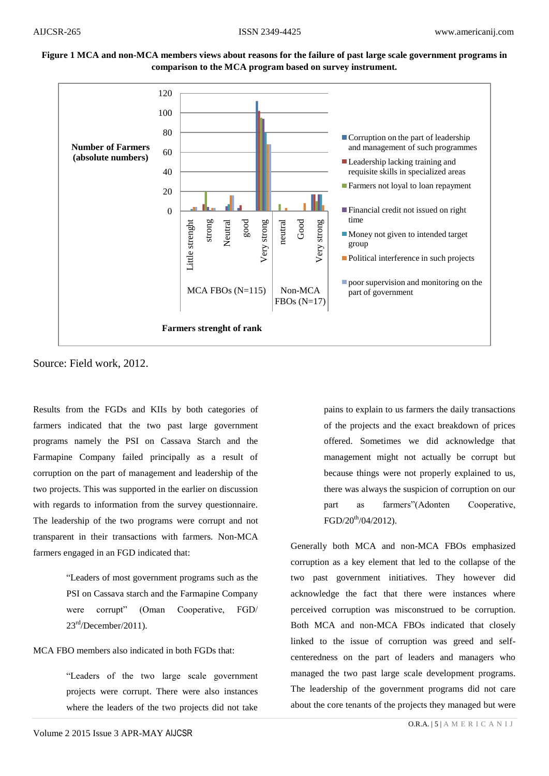### **Figure 1 MCA and non-MCA members views about reasons for the failure of past large scale government programs in comparison to the MCA program based on survey instrument.**



Source: Field work, 2012.

Results from the FGDs and KIIs by both categories of farmers indicated that the two past large government programs namely the PSI on Cassava Starch and the Farmapine Company failed principally as a result of corruption on the part of management and leadership of the two projects. This was supported in the earlier on discussion with regards to information from the survey questionnaire. The leadership of the two programs were corrupt and not transparent in their transactions with farmers. Non-MCA farmers engaged in an FGD indicated that:

> "Leaders of most government programs such as the PSI on Cassava starch and the Farmapine Company were corrupt" (Oman Cooperative, FGD/  $23<sup>rd</sup>/December/2011$ ).

MCA FBO members also indicated in both FGDs that:

"Leaders of the two large scale government projects were corrupt. There were also instances where the leaders of the two projects did not take

pains to explain to us farmers the daily transactions of the projects and the exact breakdown of prices offered. Sometimes we did acknowledge that management might not actually be corrupt but because things were not properly explained to us, there was always the suspicion of corruption on our part as farmers"(Adonten Cooperative,  $FGD/20^{th}/04/2012$ ).

Generally both MCA and non-MCA FBOs emphasized corruption as a key element that led to the collapse of the two past government initiatives. They however did acknowledge the fact that there were instances where perceived corruption was misconstrued to be corruption. Both MCA and non-MCA FBOs indicated that closely linked to the issue of corruption was greed and selfcenteredness on the part of leaders and managers who managed the two past large scale development programs. The leadership of the government programs did not care about the core tenants of the projects they managed but were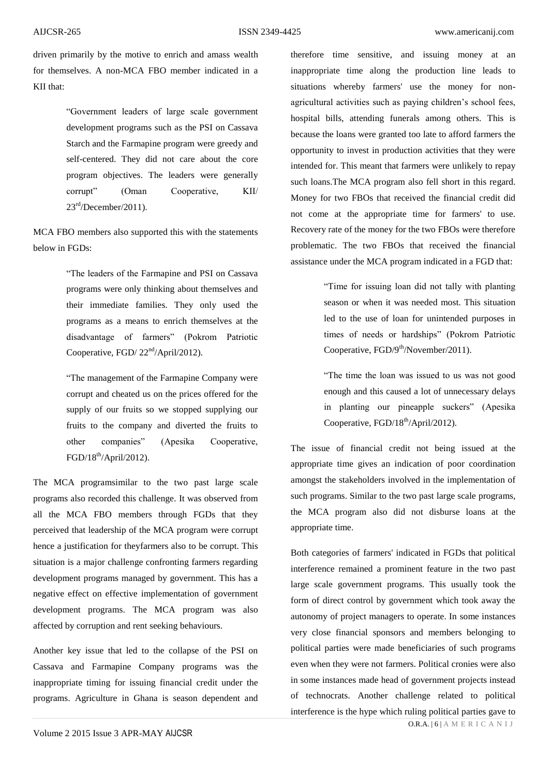driven primarily by the motive to enrich and amass wealth for themselves. A non-MCA FBO member indicated in a KII that:

> "Government leaders of large scale government development programs such as the PSI on Cassava Starch and the Farmapine program were greedy and self-centered. They did not care about the core program objectives. The leaders were generally corrupt" (Oman Cooperative, KII/  $23<sup>rd</sup>/December/2011$ ).

MCA FBO members also supported this with the statements below in FGDs:

> "The leaders of the Farmapine and PSI on Cassava programs were only thinking about themselves and their immediate families. They only used the programs as a means to enrich themselves at the disadvantage of farmers" (Pokrom Patriotic Cooperative, FGD/  $22<sup>nd</sup>/April/2012$ ).

> "The management of the Farmapine Company were corrupt and cheated us on the prices offered for the supply of our fruits so we stopped supplying our fruits to the company and diverted the fruits to other companies" (Apesika Cooperative,  $FGD/18^{th}/April/2012$ ).

The MCA programsimilar to the two past large scale programs also recorded this challenge. It was observed from all the MCA FBO members through FGDs that they perceived that leadership of the MCA program were corrupt hence a justification for theyfarmers also to be corrupt. This situation is a major challenge confronting farmers regarding development programs managed by government. This has a negative effect on effective implementation of government development programs. The MCA program was also affected by corruption and rent seeking behaviours.

Another key issue that led to the collapse of the PSI on Cassava and Farmapine Company programs was the inappropriate timing for issuing financial credit under the programs. Agriculture in Ghana is season dependent and

therefore time sensitive, and issuing money at an inappropriate time along the production line leads to situations whereby farmers' use the money for nonagricultural activities such as paying children's school fees, hospital bills, attending funerals among others. This is because the loans were granted too late to afford farmers the opportunity to invest in production activities that they were intended for. This meant that farmers were unlikely to repay such loans.The MCA program also fell short in this regard. Money for two FBOs that received the financial credit did not come at the appropriate time for farmers' to use. Recovery rate of the money for the two FBOs were therefore problematic. The two FBOs that received the financial assistance under the MCA program indicated in a FGD that:

> "Time for issuing loan did not tally with planting season or when it was needed most. This situation led to the use of loan for unintended purposes in times of needs or hardships" (Pokrom Patriotic Cooperative,  $FGD/9<sup>th</sup>/November/2011$ .

> "The time the loan was issued to us was not good enough and this caused a lot of unnecessary delays in planting our pineapple suckers" (Apesika Cooperative, FGD/18<sup>th</sup>/April/2012).

The issue of financial credit not being issued at the appropriate time gives an indication of poor coordination amongst the stakeholders involved in the implementation of such programs. Similar to the two past large scale programs, the MCA program also did not disburse loans at the appropriate time.

Both categories of farmers' indicated in FGDs that political interference remained a prominent feature in the two past large scale government programs. This usually took the form of direct control by government which took away the autonomy of project managers to operate. In some instances very close financial sponsors and members belonging to political parties were made beneficiaries of such programs even when they were not farmers. Political cronies were also in some instances made head of government projects instead of technocrats. Another challenge related to political interference is the hype which ruling political parties gave to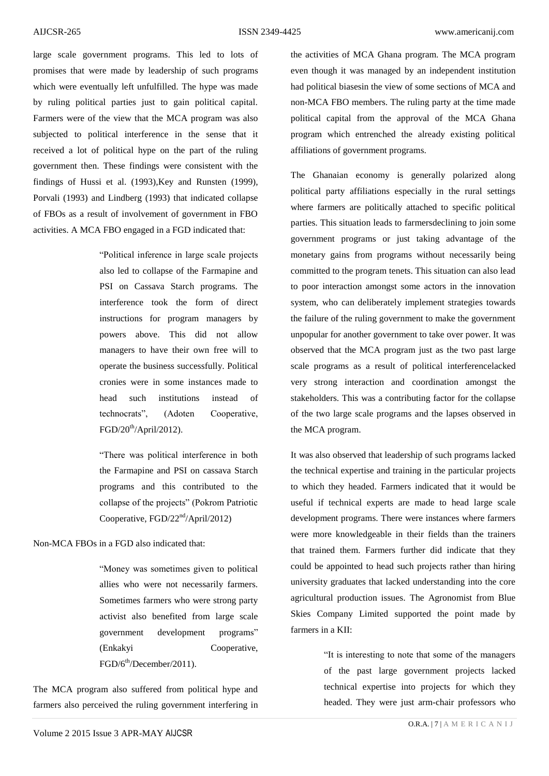large scale government programs. This led to lots of promises that were made by leadership of such programs which were eventually left unfulfilled. The hype was made by ruling political parties just to gain political capital. Farmers were of the view that the MCA program was also subjected to political interference in the sense that it received a lot of political hype on the part of the ruling government then. These findings were consistent with the findings of [Hussi et al. \(1993\)](#page-9-7)[,Key and Runsten \(1999\),](#page-9-9) [Porvali \(1993\)](#page-10-4) and [Lindberg \(1993\)](#page-9-10) that indicated collapse of FBOs as a result of involvement of government in FBO activities. A MCA FBO engaged in a FGD indicated that:

> "Political inference in large scale projects also led to collapse of the Farmapine and PSI on Cassava Starch programs. The interference took the form of direct instructions for program managers by powers above. This did not allow managers to have their own free will to operate the business successfully. Political cronies were in some instances made to head such institutions instead of technocrats", (Adoten Cooperative,  $FGD/20<sup>th</sup>/Arri1/2012$ ).

> "There was political interference in both the Farmapine and PSI on cassava Starch programs and this contributed to the collapse of the projects" (Pokrom Patriotic Cooperative, FGD/22<sup>nd</sup>/April/2012)

#### Non-MCA FBOs in a FGD also indicated that:

"Money was sometimes given to political allies who were not necessarily farmers. Sometimes farmers who were strong party activist also benefited from large scale government development programs" (Enkakyi Cooperative, FGD/6<sup>th</sup>/December/2011).

The MCA program also suffered from political hype and farmers also perceived the ruling government interfering in

the activities of MCA Ghana program. The MCA program even though it was managed by an independent institution had political biasesin the view of some sections of MCA and non-MCA FBO members. The ruling party at the time made political capital from the approval of the MCA Ghana program which entrenched the already existing political affiliations of government programs.

The Ghanaian economy is generally polarized along political party affiliations especially in the rural settings where farmers are politically attached to specific political parties. This situation leads to farmersdeclining to join some government programs or just taking advantage of the monetary gains from programs without necessarily being committed to the program tenets. This situation can also lead to poor interaction amongst some actors in the innovation system, who can deliberately implement strategies towards the failure of the ruling government to make the government unpopular for another government to take over power. It was observed that the MCA program just as the two past large scale programs as a result of political interferencelacked very strong interaction and coordination amongst the stakeholders. This was a contributing factor for the collapse of the two large scale programs and the lapses observed in the MCA program.

It was also observed that leadership of such programs lacked the technical expertise and training in the particular projects to which they headed. Farmers indicated that it would be useful if technical experts are made to head large scale development programs. There were instances where farmers were more knowledgeable in their fields than the trainers that trained them. Farmers further did indicate that they could be appointed to head such projects rather than hiring university graduates that lacked understanding into the core agricultural production issues. The Agronomist from Blue Skies Company Limited supported the point made by farmers in a KII:

> "It is interesting to note that some of the managers of the past large government projects lacked technical expertise into projects for which they headed. They were just arm-chair professors who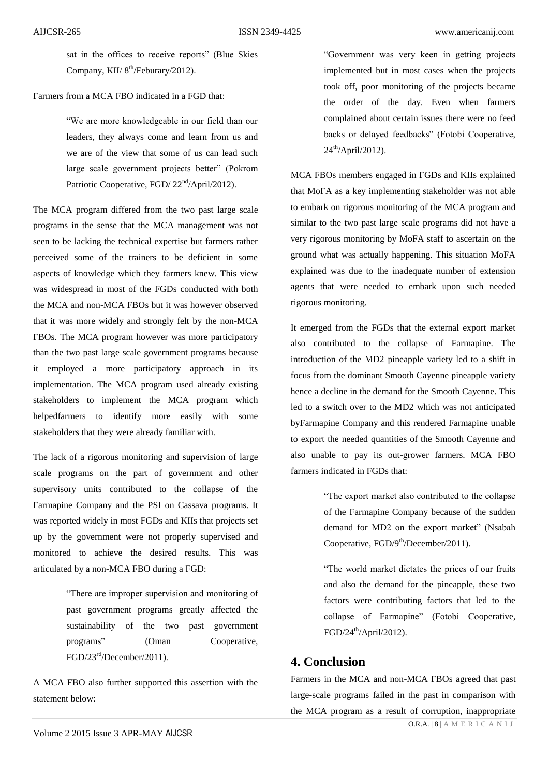sat in the offices to receive reports" (Blue Skies Company, KII/  $8<sup>th</sup>/February/2012$ ).

#### Farmers from a MCA FBO indicated in a FGD that:

"We are more knowledgeable in our field than our leaders, they always come and learn from us and we are of the view that some of us can lead such large scale government projects better" (Pokrom Patriotic Cooperative, FGD/  $22<sup>nd</sup>/April/2012$ ).

The MCA program differed from the two past large scale programs in the sense that the MCA management was not seen to be lacking the technical expertise but farmers rather perceived some of the trainers to be deficient in some aspects of knowledge which they farmers knew. This view was widespread in most of the FGDs conducted with both the MCA and non-MCA FBOs but it was however observed that it was more widely and strongly felt by the non-MCA FBOs. The MCA program however was more participatory than the two past large scale government programs because it employed a more participatory approach in its implementation. The MCA program used already existing stakeholders to implement the MCA program which helpedfarmers to identify more easily with some stakeholders that they were already familiar with.

The lack of a rigorous monitoring and supervision of large scale programs on the part of government and other supervisory units contributed to the collapse of the Farmapine Company and the PSI on Cassava programs. It was reported widely in most FGDs and KIIs that projects set up by the government were not properly supervised and monitored to achieve the desired results. This was articulated by a non-MCA FBO during a FGD:

> "There are improper supervision and monitoring of past government programs greatly affected the sustainability of the two past government programs" (Oman Cooperative, FGD/23rd/December/2011).

A MCA FBO also further supported this assertion with the statement below:

"Government was very keen in getting projects implemented but in most cases when the projects took off, poor monitoring of the projects became the order of the day. Even when farmers complained about certain issues there were no feed backs or delayed feedbacks" (Fotobi Cooperative,  $24^{th}/\text{April}/2012$ ).

MCA FBOs members engaged in FGDs and KIIs explained that MoFA as a key implementing stakeholder was not able to embark on rigorous monitoring of the MCA program and similar to the two past large scale programs did not have a very rigorous monitoring by MoFA staff to ascertain on the ground what was actually happening. This situation MoFA explained was due to the inadequate number of extension agents that were needed to embark upon such needed rigorous monitoring.

It emerged from the FGDs that the external export market also contributed to the collapse of Farmapine. The introduction of the MD2 pineapple variety led to a shift in focus from the dominant Smooth Cayenne pineapple variety hence a decline in the demand for the Smooth Cayenne. This led to a switch over to the MD2 which was not anticipated byFarmapine Company and this rendered Farmapine unable to export the needed quantities of the Smooth Cayenne and also unable to pay its out-grower farmers. MCA FBO farmers indicated in FGDs that:

> "The export market also contributed to the collapse of the Farmapine Company because of the sudden demand for MD2 on the export market" (Nsabah Cooperative,  $FGD/9<sup>th</sup>/December/2011$ .

> "The world market dictates the prices of our fruits and also the demand for the pineapple, these two factors were contributing factors that led to the collapse of Farmapine" (Fotobi Cooperative,  $FGD/24<sup>th</sup>/April/2012$ ).

# **4. Conclusion**

Farmers in the MCA and non-MCA FBOs agreed that past large-scale programs failed in the past in comparison with the MCA program as a result of corruption, inappropriate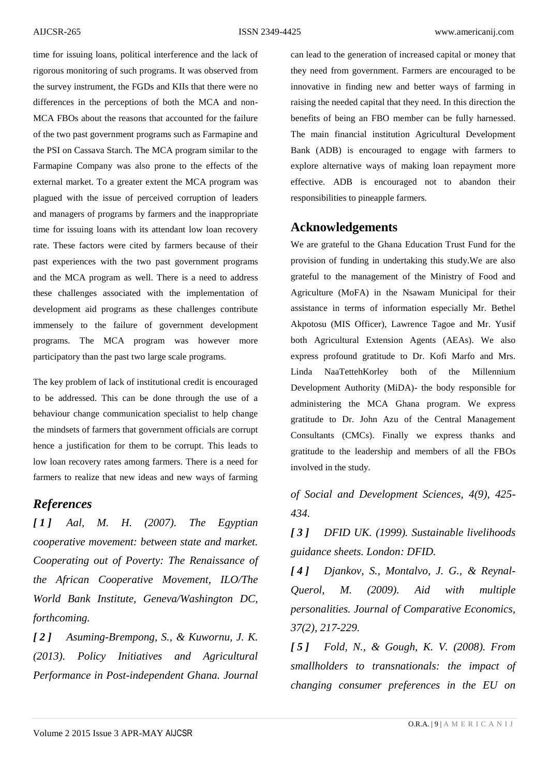time for issuing loans, political interference and the lack of rigorous monitoring of such programs. It was observed from the survey instrument, the FGDs and KIIs that there were no differences in the perceptions of both the MCA and non-MCA FBOs about the reasons that accounted for the failure of the two past government programs such as Farmapine and the PSI on Cassava Starch. The MCA program similar to the Farmapine Company was also prone to the effects of the external market. To a greater extent the MCA program was plagued with the issue of perceived corruption of leaders and managers of programs by farmers and the inappropriate time for issuing loans with its attendant low loan recovery rate. These factors were cited by farmers because of their past experiences with the two past government programs and the MCA program as well. There is a need to address these challenges associated with the implementation of development aid programs as these challenges contribute immensely to the failure of government development programs. The MCA program was however more participatory than the past two large scale programs.

The key problem of lack of institutional credit is encouraged to be addressed. This can be done through the use of a behaviour change communication specialist to help change the mindsets of farmers that government officials are corrupt hence a justification for them to be corrupt. This leads to low loan recovery rates among farmers. There is a need for farmers to realize that new ideas and new ways of farming

## *References*

<span id="page-8-0"></span>*[ 1 ] Aal, M. H. (2007). The Egyptian cooperative movement: between state and market. Cooperating out of Poverty: The Renaissance of the African Cooperative Movement, ILO/The World Bank Institute, Geneva/Washington DC, forthcoming.* 

<span id="page-8-3"></span>*[ 2 ] Asuming-Brempong, S., & Kuwornu, J. K. (2013). Policy Initiatives and Agricultural Performance in Post-independent Ghana. Journal*  can lead to the generation of increased capital or money that they need from government. Farmers are encouraged to be innovative in finding new and better ways of farming in raising the needed capital that they need. In this direction the benefits of being an FBO member can be fully harnessed. The main financial institution Agricultural Development Bank (ADB) is encouraged to engage with farmers to explore alternative ways of making loan repayment more effective. ADB is encouraged not to abandon their responsibilities to pineapple farmers.

## **Acknowledgements**

We are grateful to the Ghana Education Trust Fund for the provision of funding in undertaking this study.We are also grateful to the management of the Ministry of Food and Agriculture (MoFA) in the Nsawam Municipal for their assistance in terms of information especially Mr. Bethel Akpotosu (MIS Officer), Lawrence Tagoe and Mr. Yusif both Agricultural Extension Agents (AEAs). We also express profound gratitude to Dr. Kofi Marfo and Mrs. Linda NaaTettehKorley both of the Millennium Development Authority (MiDA)- the body responsible for administering the MCA Ghana program. We express gratitude to Dr. John Azu of the Central Management Consultants (CMCs). Finally we express thanks and gratitude to the leadership and members of all the FBOs involved in the study.

*of Social and Development Sciences, 4(9), 425- 434.* 

<span id="page-8-4"></span>*[ 3 ] DFID UK. (1999). Sustainable livelihoods guidance sheets. London: DFID.* 

<span id="page-8-1"></span>*[ 4 ] Djankov, S., Montalvo, J. G., & Reynal-Querol, M. (2009). Aid with multiple personalities. Journal of Comparative Economics, 37(2), 217-229.* 

<span id="page-8-2"></span>*[ 5 ] Fold, N., & Gough, K. V. (2008). From smallholders to transnationals: the impact of changing consumer preferences in the EU on*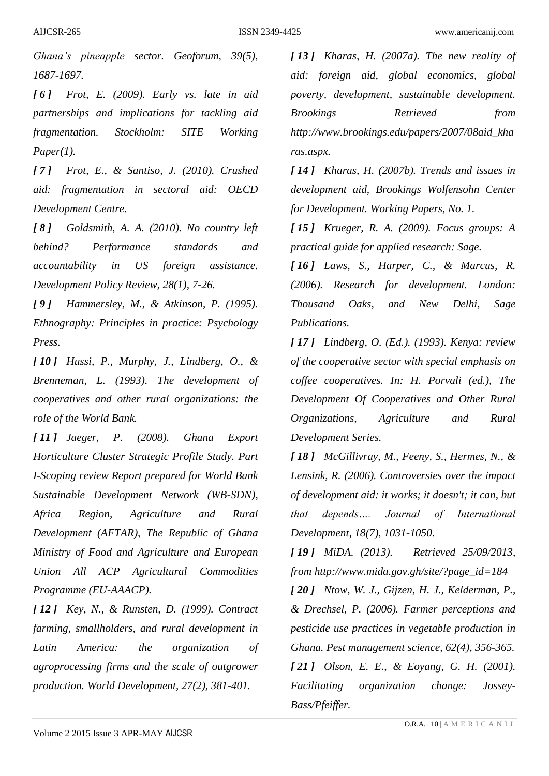*Ghana's pineapple sector. Geoforum, 39(5), 1687-1697.* 

<span id="page-9-5"></span>*[ 6 ] Frot, E. (2009). Early vs. late in aid partnerships and implications for tackling aid fragmentation. Stockholm: SITE Working Paper(1).* 

<span id="page-9-4"></span>*[ 7 ] Frot, E., & Santiso, J. (2010). Crushed aid: fragmentation in sectoral aid: OECD Development Centre.*

<span id="page-9-3"></span>*[ 8 ] Goldsmith, A. A. (2010). No country left behind? Performance standards and accountability in US foreign assistance. Development Policy Review, 28(1), 7-26.* 

<span id="page-9-15"></span>*[ 9 ] Hammersley, M., & Atkinson, P. (1995). Ethnography: Principles in practice: Psychology Press.*

<span id="page-9-7"></span>*[ 10 ] Hussi, P., Murphy, J., Lindberg, O., & Brenneman, L. (1993). The development of cooperatives and other rural organizations: the role of the World Bank.* 

<span id="page-9-8"></span>*[ 11 ] Jaeger, P. (2008). Ghana Export Horticulture Cluster Strategic Profile Study. Part I-Scoping review Report prepared for World Bank Sustainable Development Network (WB-SDN), Africa Region, Agriculture and Rural Development (AFTAR), The Republic of Ghana Ministry of Food and Agriculture and European Union All ACP Agricultural Commodities Programme (EU-AAACP).*

<span id="page-9-9"></span>*[ 12 ] Key, N., & Runsten, D. (1999). Contract farming, smallholders, and rural development in Latin America: the organization of agroprocessing firms and the scale of outgrower production. World Development, 27(2), 381-401.* 

<span id="page-9-0"></span>*[ 13 ] Kharas, H. (2007a). The new reality of aid: foreign aid, global economics, global poverty, development, sustainable development. Brookings Retrieved from http://www.brookings.edu/papers/2007/08aid\_kha ras.aspx.*

<span id="page-9-1"></span>*[ 14 ] Kharas, H. (2007b). Trends and issues in development aid, Brookings Wolfensohn Center for Development. Working Papers, No. 1.*

<span id="page-9-14"></span>*[ 15 ] Krueger, R. A. (2009). Focus groups: A practical guide for applied research: Sage.*

<span id="page-9-13"></span>*[ 16 ] Laws, S., Harper, C., & Marcus, R. (2006). Research for development. London: Thousand Oaks, and New Delhi, Sage Publications.*

<span id="page-9-10"></span>*[ 17 ] Lindberg, O. (Ed.). (1993). Kenya: review of the cooperative sector with special emphasis on coffee cooperatives. In: H. Porvali (ed.), The Development Of Cooperatives and Other Rural Organizations, Agriculture and Rural Development Series.*

<span id="page-9-2"></span>*[ 18 ] McGillivray, M., Feeny, S., Hermes, N., & Lensink, R. (2006). Controversies over the impact of development aid: it works; it doesn't; it can, but that depends…. Journal of International Development, 18(7), 1031-1050.* 

<span id="page-9-12"></span><span id="page-9-11"></span><span id="page-9-6"></span>*[ 19 ] MiDA. (2013). Retrieved 25/09/2013, from http://www.mida.gov.gh/site/?page\_id=184 [ 20 ] Ntow, W. J., Gijzen, H. J., Kelderman, P., & Drechsel, P. (2006). Farmer perceptions and pesticide use practices in vegetable production in Ghana. Pest management science, 62(4), 356-365. [ 21 ] Olson, E. E., & Eoyang, G. H. (2001). Facilitating organization change: Jossey-Bass/Pfeiffer.*